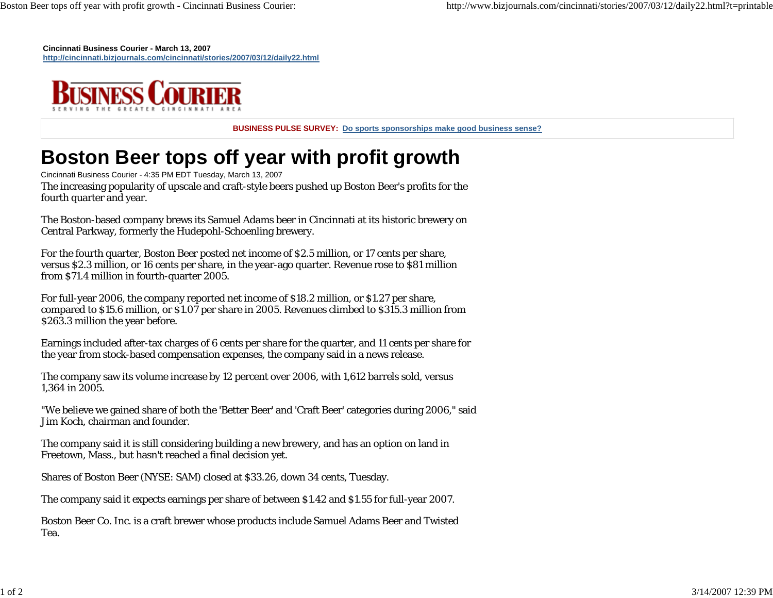**Cincinnati Business Courier - March 13, 2007 http://cincinnati.bizjournals.com/cincinnati/stories/2007/03/12/daily22.html**



**BUSINESS PULSE SURVEY: Do sports sponsorships make good business sense?**

## **Boston Beer tops off year with profit growth**

Cincinnati Business Courier - 4:35 PM EDT Tuesday, March 13, 2007 The increasing popularity of upscale and craft-style beers pushed up Boston Beer's profits for the fourth quarter and year.

The Boston-based company brews its Samuel Adams beer in Cincinnati at its historic brewery on Central Parkway, formerly the Hudepohl-Schoenling brewery.

For the fourth quarter, Boston Beer posted net income of \$2.5 million, or 17 cents per share, versus \$2.3 million, or 16 cents per share, in the year-ago quarter. Revenue rose to \$81 million from \$71.4 million in fourth-quarter 2005.

For full-year 2006, the company reported net income of \$18.2 million, or \$1.27 per share, compared to \$15.6 million, or \$1.07 per share in 2005. Revenues climbed to \$315.3 million from \$263.3 million the year before.

Earnings included after-tax charges of 6 cents per share for the quarter, and 11 cents per share for the year from stock-based compensation expenses, the company said in a news release.

The company saw its volume increase by 12 percent over 2006, with 1,612 barrels sold, versus 1,364 in 2005.

"We believe we gained share of both the 'Better Beer' and 'Craft Beer' categories during 2006," said Jim Koch, chairman and founder.

The company said it is still considering building a new brewery, and has an option on land in Freetown, Mass., but hasn't reached a final decision yet.

Shares of Boston Beer (NYSE: SAM) closed at \$33.26, down 34 cents, Tuesday.

The company said it expects earnings per share of between \$1.42 and \$1.55 for full-year 2007.

Boston Beer Co. Inc. is a craft brewer whose products include Samuel Adams Beer and Twisted Tea.